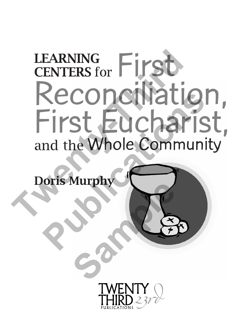# First Reconciliation, First Eucharist, and the Whole Community LEARNING CENTERS for **THEARNING**<br> **Reconciliation**<br>
First Euchar<br>
and the Whole Communoris Murphy **Publication**<br>
Publications<br>
Tirst Eucharis<br>
Note Community<br>
Public Community<br>
Public Community<br>
Public Community

Doris Murphy **Samples** 

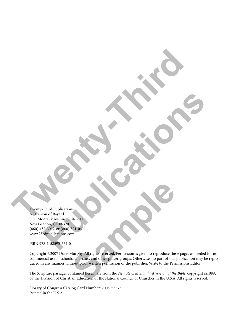Twenty-Third Publications A Division of Bayard One Montauk Avenue, Suite 200 New London, CT 06320 (860) 437-3012 or (800) 321-0411 www.23rdpublications.com **The Contract of Contract of Contract of Contract of Contract of Contract of Contract of Contract of Contract of Contract of Contract of Contract of Contract of Contract of Contract of Contract of Contract of Contract of C Publications and Publications and Publications and Publications and Publications and Publications and Publications and Publications and Publications and Publications and Publications and Publications and Publications and** 

ISBN 978-1-58595-564-0

Copyright ©2007 Doris Murphy. All rights reserved. Permission is given to reproduce these pages as needed for noncommercial use in schools, churches, and other prayer groups. Otherwise, no part of this publication may be reproduced in any manner without prior written permission of the publisher. Write to the Permissions Editor. <sup>18</sup><br>
Sample 200<br>
Sample 200<br>
Sample 200<br>
Murphy. All rights reserved. Permission is given to reproduce these<br>
sk, churches, and other prayer groups. Otherwise, no part of this<br>
hout prior written permission of the publish

The Scripture passages contained herein are from the *New Revised Standard Version of the Bible*, copyright ©1989, by the Division of Christian Education of the National Council of Churches in the U.S.A. All rights reserved.

Library of Congress Catalog Card Number: 2005935875 Printed in the U.S.A.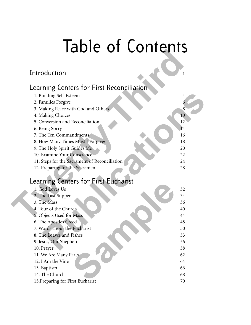## Table of Contents

#### Introduction 1 and 1 and 1 and 1 and 1 and 1 and 1 and 1 and 1 and 1 and 1 and 1 and 1 and 1 and 1 and 1 and 1

#### Learning Centers for First Reconciliation

| IUNIL VI LUIIIUIIIJ                           |    |
|-----------------------------------------------|----|
| Introduction                                  |    |
| Learning Centers for First Reconciliation     |    |
| 1. Building Self-Esteem                       | 4  |
| 2. Families Forgive                           | 6  |
| 3. Making Peace with God and Others           | 8  |
| 4. Making Choices                             | 10 |
| 5. Conversion and Reconciliation              | 12 |
| 6. Being Sorry                                | 14 |
| 7. The Ten Commandments                       | 16 |
| 8. How Many Times Must I Forgive?             | 18 |
| 9. The Holy Spirit Guides Me                  | 20 |
| 10. Examine Your Conscience                   | 22 |
| 11. Steps for the Sacrament of Reconciliation | 24 |
| 12. Preparing for the Sacrament               | 28 |
| Learning Centers for First Eucharist          |    |
| 1. God Loves Us                               | 32 |
| 2. The Last Supper                            | 34 |
| 3. The Mass                                   | 36 |
| 4. Tour of the Church                         | 40 |
| 5. Objects Used for Mass                      | 44 |
| 6. The Apostles Creed                         | 48 |
| 7. Words about the Eucharist                  | 50 |
| 8. The Loaves and Fishes                      | 53 |
| 9. Jesus, Our Shepherd                        | 56 |
| 10. Prayer                                    | 58 |

#### Learning Centers for First Eucharist

| Learning Centers for Thist Eucharist |    |
|--------------------------------------|----|
| 1. God Loves Us                      | 32 |
| 2. The Last Supper                   | 34 |
| 3. The Mass                          | 36 |
| 4. Tour of the Church                | 40 |
| 5. Objects Used for Mass             | 44 |
| 6. The Apostles Creed                | 48 |
| 7. Words about the Eucharist         | 50 |
| 8. The Loaves and Fishes             | 53 |
| 9. Jesus, Our Shepherd               | 56 |
| 10. Prayer                           | 58 |
| 11. We Are Many Parts                | 62 |
| 12. I Am the Vine                    | 64 |
| 13. Baptism                          | 66 |
| 14. The Church                       | 68 |
| 15. Preparing for First Eucharist    | 70 |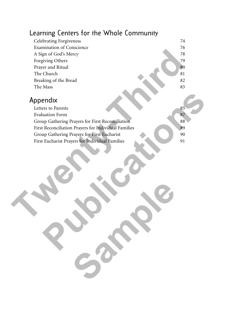#### Learning Centers for the Whole Community



**Sample**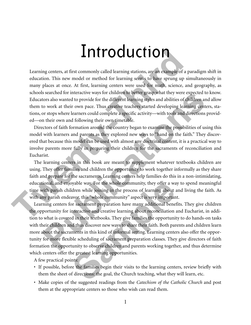### Introduction

Learning centers, at first commonly called learning stations, are an example of a paradigm shift in education. This new model or method for learning seems to have sprung up simultaneously in many places at once. At first, learning centers were used for math, science, and geography, as schools searched for interactive ways for children to better grasp what they were expected to know. Educators also wanted to provide for the different learning styles and abilities of children and allow them to work at their own pace. Thus creative teachers started developing learning centers, stations, or stops where learners could complete a specific activity—with tools and directions provided—on their own and following their own timetable. **THYCOCUCTION**<br>
Learning centers, at first commonly called learning stations, are an example of a paraductation. This new model or nethed for learning settings whis they germ up similar many places at once. At first, learn

Directors of faith formation around the country began to examine the possibilities of using this model with learners and parents as they explored new ways to "hand on the faith." They discovered that because this model can be used with almost any doctrinal content, it is a practical way to involve parents more fully in preparing their children for the sacraments of reconciliation and Eucharist.

The learning centers in this book are meant to supplement whatever textbooks children are using. They offer families and children the opportunity to work together informally as they share faith and prepare for the sacraments. Learning centers help families do this in a non-intimidating, educational, and enjoyable way. For the whole community, they offer a way to spend meaningful time with parish children while joining in the process of learning about and living the faith. As with any parish endeavor, this "whole community" aspect is very important.

Learning centers for sacrament preparation have many additional benefits. They give children the opportunity for interactive and creative learning about reconciliation and Eucharist, in addition to what is covered in their textbooks. They give families the opportunity to do hands-on tasks with their children and thus discover new ways to share their faith. Both parents and children learn more about the sacraments in this kind of informal setting. Learning centers also offer the opportunity for more flexible scheduling of sacrament preparation classes. They give directors of faith formation the opportunity to observe children and parents working together, and thus determine which centers offer the greatest learning opportunities. is searched for interactive ways tor children to better grasp what they were expected to knots also wanted to provide for the different learning subsets and abilities of children and all bouvide to to work at their own pac byable way. For the whole community, they offer a way ddren while joining in the process of learning about a avor, this "whole community" aspect is very important or sacrament preparation have many additional benefictant<br>o

- A few practical points:
- If possible, before the families begin their visits to the learning centers, review briefly with them the sheet of directions: the goal, the Church teaching, what they will learn, etc.
- Make copies of the suggested readings from the *Catechism of the Catholic Church* and post them at the appropriate centers so those who wish can read them.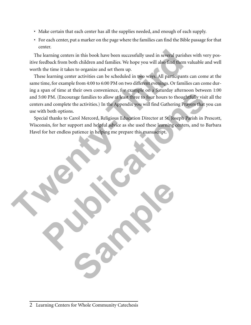- Make certain that each center has all the supplies needed, and enough of each supply.
- For each center, put a marker on the page where the families can find the Bible passage for that center.

The learning centers in this book have been successfully used in several parishes with very positive feedback from both children and families. We hope you will also find them valuable and well worth the time it takes to organize and set them up.

These learning center activities can be scheduled in two ways. All participants can come at the same time, for example from 4:00 to 6:00 PM on two different evenings. Or families can come during a span of time at their own convenience, for example on a Saturday afternoon between 1:00 and 5:00 PM. (Encourage families to allow at least three to four hours to thoughtfully visit all the centers and complete the activities.) In the Appendix you will find Gathering Prayers that you can use with both options.

Special thanks to Carol Mercord, Religious Education Director at St. Joseph Parish in Prescott, Wisconsin, for her support and helpful advice as she used these learning centers, and to Barbara Havel for her endless patience in helping me prepare this manuscript.

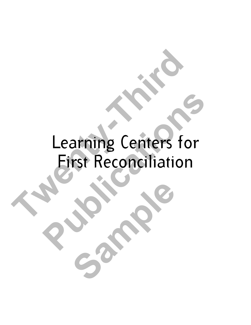# Learning Centers for First Reconciliation **Twee Learning Centers for Second Learning Centers for Second Learning Centers for Second Learning Centers for Learning Centers for**<br>**Eirst Reconciliation**

**Sample**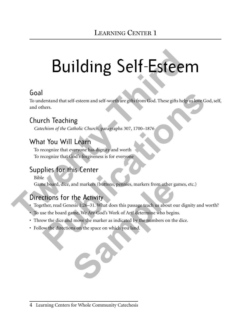# Building Self-Esteem **Building Self-Esteen**<br>
To understand that self-esteem and self-worth are gitts from God. These gifts help us<br>
and others.<br>
Church Teaching<br>
Catechism of the Catholic Church, paragraphs 307, 1700–1876<br>
What You Will Learn<br>

#### Goal

To understand that self-esteem and self-worth are gifts from God. These gifts help us love God, self, and others. Franch that self-esteem and self-worth are gifts from God. These gifts help us love God,<br>hers.<br> **Public Change Contains and Self-Worth Amage SUP 1700-1876**<br> **Public Change Contains and Self-esteem**<br> **Public Change Explores** 

#### Church Teaching

*Catechism of the Catholic Church*, paragraphs 307, 1700–1876

#### What You Will Learn

To recognize that everyone has dignity and worth To recognize that God's forgiveness is for everyone

#### Supplies for this Center

Bible

Game board, dice, and markers (buttons, pennies, markers from other games, etc.)

#### Directions for the Activity

- Together, read Genesis 1:26–31. What does this passage teach us about our dignity and worth? and markers (buttons, pennies, markers from other gather Activity<br>
esis 1:26–31. What does this passage teach us about our<br>
ame, We Are God's Work of Art! determine who begin<br>
I move the marker as indicated by the numbers
- To use the board game, We Are God's Work of Art! determine who begins.
- Throw the dice and move the marker as indicated by the numbers on the dice.
- Follow the directions on the space on which you land.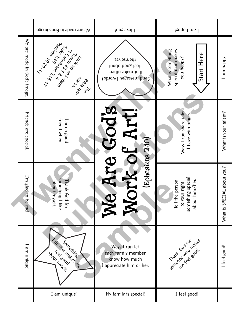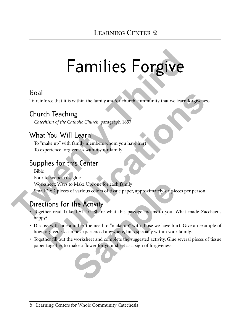## Families Forgive

#### Goal

To reinforce that it is within the family and/or church community that we learn forgiveness.

#### Church Teaching

*Catechism of the Catholic Church*, paragraph 1657

#### What You Will Learn

To "make up" with family members whom you have hurt To experience forgiveness within your family

#### Supplies for this Center

Bible Four to six pencils, glue Worksheet: Ways to Make Up, one for each family Small 2 x 2 pieces of various colors of tissue paper, approximately six pieces per person **Families Forgives**<br>
Goal<br>
To reinforce that it is within the family and/or church community that we learn for<br>
Church Teaching<br>
Caterlism of the Catholic Church, paragraph 1657<br>
What You Will Learn<br>
To "make up" with fami **Publication**<br> **Publication**<br> **Publication**<br> **Publication**<br> **Public Church, paragraph 1657**<br> **PUBL VOU WIII Learn**<br> **PUBLICATIVE TO WIII Learn**<br> **PUBLICATIVE TO WIII Learn**<br> **PUBLICATIVE TO WIII Learn**<br> **PUBLICATIVE TO THI** 

#### Directions for the Activity

- Together read Luke 19:1–10. Share what this passage means to you. What made Zacchaeus happy? So Make Up, one for each family<br>of various colors of tissue paper, approximately six pie<br>**the Activity**<br>e 19:1–10. Share what this passage means to you. V<br>nother the need to "make up" with those we have hu<br>n be experienced
- Discuss with one another the need to "make up" with those we have hurt. Give an example of how forgiveness can be experienced anywhere, but especially within your family.
- Together fill out the worksheet and complete the suggested activity. Glue several pieces of tissue paper together to make a flower for your sheet as a sign of forgiveness.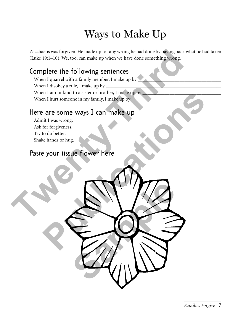#### Ways to Make Up

Zacchaeus was forgiven. He made up for any wrong he had done by paying back what he had taken (Luke 19:1–10). We, too, can make up when we have done something wrong.

**Sample** 

#### Complete the following sentences

When I quarrel with a family member, I make up by When I disobey a rule, I make up by When I am unkind to a sister or brother, I make up by When I hurt someone in my family, I make up by\_ The state 19:1-10). We, too, can make up for any wrong he had done by paying back white<br>
(Take 19:1-10). We, too, can make up when we have done something wrong.<br>
Complete the following sentences<br>
When I disobey a rule, I m **Publication Publication Publications**<br> **Publications in the structure** of the structure of the structure.<br> **Publications**<br> **Publications**<br> **Publications**<br> **Publications**<br> **Publications**<br> **Publications**<br> **Publications** 

#### Here are some ways I can make up

Admit I was wrong. Ask for forgiveness. Try to do better. Shake hands or hug.

#### Paste your tissue flower here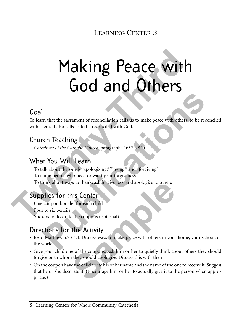# Making Peace with God and Others **Making Peace with them.**<br> **God** and Others<br> **God** and Others in the second of reconciliation calls us to make peace with others, to<br>
with them. It also calls us to be reconciliation calls us to make peace with others, to<br>

#### Goal

To learn that the sacrament of reconciliation calls us to make peace with others, to be reconciled with them. It also calls us to be reconciled with God.

#### Church Teaching

*Catechism of the Catholic Church*, paragraphs 1657, 2840

#### What You Will Learn

To talk about the words "apologizing," "loving," and "forgiving" To name people who need or want your forgiveness To think about ways to thank, ask forgiveness, and apologize to others **Publication**<br> **Publication Constant of reconciliation calls us to make peace with others, to be reconcern. It also calls us to be reconciled with God.<br>
<b>Public Constant of the Catholic Church, paragraphs 1657, 2840**<br> **Pub** 

#### Supplies for this Center

One coupon booklet for each child Four to six pencils Stickers to decorate the coupons (optional)

#### Directions for the Activity

- Read Matthew 5:23–24. Discuss ways to make peace with others in your home, your school, or the world.
- Give your child one of the coupons. Ask him or her to quietly think about others they should forgive or to whom they should apologize. Discuss this with them.
- On the coupon have the child write his or her name and the name of the one to receive it. Suggest that he or she decorate it. (Encourage him or her to actually give it to the person when appropriate.) Solution to thank, ask forgiveness, and apologize to others<br> **Sample 1:**<br>
Sample of the coupons (optional)<br> **Sample 2:**<br> **Sample 2:**<br> **Sample 2:**<br> **Sample 2:**<br> **Sample 2:**<br> **Sample 2:**<br> **Sample 2:**<br> **Sample 2:**<br> **Sample 1:**